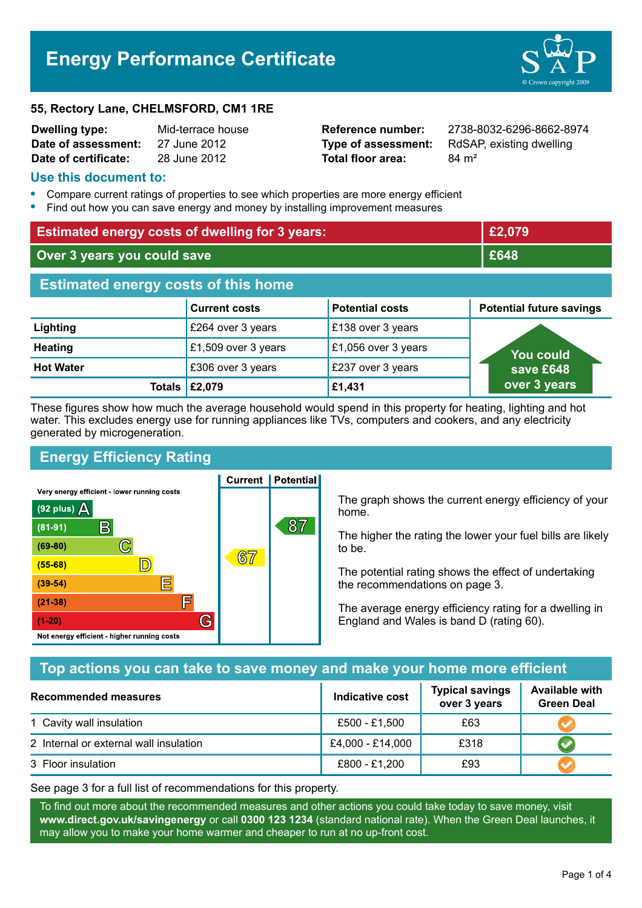# **Energy Performance Certificate**



| <b>Dwelling type:</b> | Mid-terrace house |
|-----------------------|-------------------|
| Date of assessment:   | 27 June 2012      |
| Date of certificate:  | 28 June 2012      |

**Total floor area:** 84 m<sup>2</sup>

**Dwelling type:** Mid-terrace house **Reference number:** 2738-8032-6296-8662-8974 **Type of assessment:** RdSAP, existing dwelling

#### **Use this document to:**

- **•** Compare current ratings of properties to see which properties are more energy efficient
- **•** Find out how you can save energy and money by installing improvement measures

| <b>Estimated energy costs of dwelling for 3 years:</b> |                                |                        | £2,079                          |
|--------------------------------------------------------|--------------------------------|------------------------|---------------------------------|
| Over 3 years you could save                            |                                | £648                   |                                 |
| <b>Estimated energy costs of this home</b>             |                                |                        |                                 |
|                                                        | <b>Current costs</b>           | <b>Potential costs</b> | <b>Potential future savings</b> |
| Lighting                                               | £264 over 3 years              | £138 over 3 years      |                                 |
| <b>Heating</b>                                         | £1,509 over 3 years            | £1,056 over 3 years    | <b>You could</b>                |
| <b>Hot Water</b>                                       | £306 over 3 years              | £237 over 3 years      | save £648                       |
|                                                        | Totals $\left  \right.$ £2,079 | £1,431                 | over 3 years                    |

These figures show how much the average household would spend in this property for heating, lighting and hot water. This excludes energy use for running appliances like TVs, computers and cookers, and any electricity generated by microgeneration.

**Current | Potential** 

# **Energy Efficiency Rating**

Very energy efficient - lower running costs



The graph shows the current energy efficiency of your home.

The higher the rating the lower your fuel bills are likely to be.

The potential rating shows the effect of undertaking the recommendations on page 3.

The average energy efficiency rating for a dwelling in England and Wales is band D (rating 60).

## **Top actions you can take to save money and make your home more efficient**

| Recommended measures                   | Indicative cost  | <b>Typical savings</b><br>over 3 years | <b>Available with</b><br><b>Green Deal</b> |
|----------------------------------------|------------------|----------------------------------------|--------------------------------------------|
| 1 Cavity wall insulation               | £500 - £1,500    | £63                                    |                                            |
| 2 Internal or external wall insulation | £4,000 - £14,000 | £318                                   |                                            |
| 3 Floor insulation                     | £800 - £1,200    | £93                                    |                                            |

See page 3 for a full list of recommendations for this property.

To find out more about the recommended measures and other actions you could take today to save money, visit **www.direct.gov.uk/savingenergy** or call **0300 123 1234** (standard national rate). When the Green Deal launches, it may allow you to make your home warmer and cheaper to run at no up-front cost.

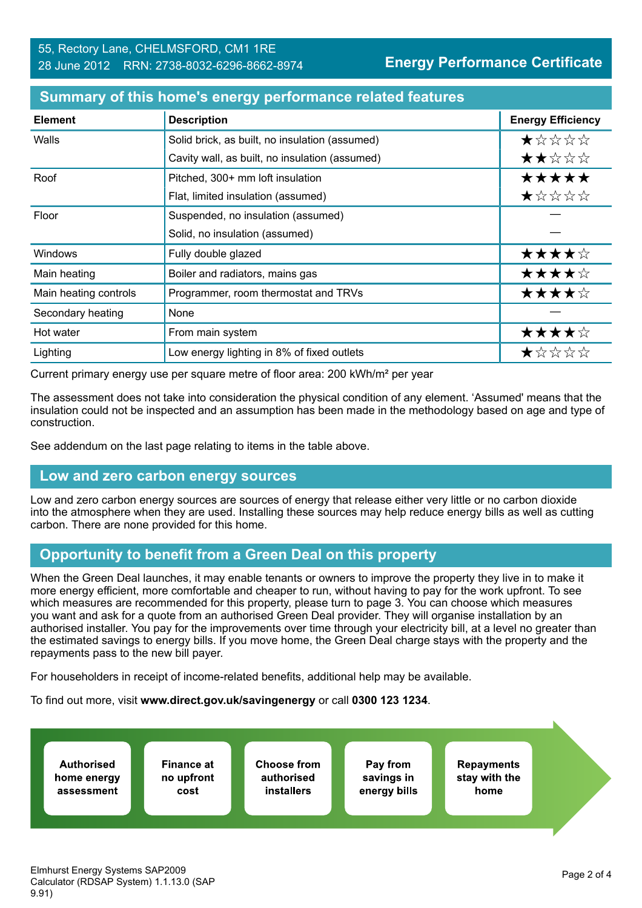| <b>Element</b>        | <b>Description</b>                             | <b>Energy Efficiency</b> |
|-----------------------|------------------------------------------------|--------------------------|
| Walls                 | Solid brick, as built, no insulation (assumed) | $\star$ * * * *          |
|                       | Cavity wall, as built, no insulation (assumed) | ★★☆☆☆                    |
| Roof                  | Pitched, 300+ mm loft insulation               | *****                    |
|                       | Flat, limited insulation (assumed)             | ★☆☆☆☆                    |
| Floor                 | Suspended, no insulation (assumed)             |                          |
|                       | Solid, no insulation (assumed)                 |                          |
| <b>Windows</b>        | Fully double glazed                            | ★★★★☆                    |
| Main heating          | Boiler and radiators, mains gas                | ★★★★☆                    |
| Main heating controls | Programmer, room thermostat and TRVs           | ★★★★☆                    |
| Secondary heating     | None                                           |                          |
| Hot water             | From main system                               | ★★★★☆                    |
| Lighting              | Low energy lighting in 8% of fixed outlets     | ★☆☆☆☆                    |

#### **Summary of this home's energy performance related features**

Current primary energy use per square metre of floor area: 200 kWh/m² per year

The assessment does not take into consideration the physical condition of any element. 'Assumed' means that the insulation could not be inspected and an assumption has been made in the methodology based on age and type of construction.

See addendum on the last page relating to items in the table above.

#### **Low and zero carbon energy sources**

Low and zero carbon energy sources are sources of energy that release either very little or no carbon dioxide into the atmosphere when they are used. Installing these sources may help reduce energy bills as well as cutting carbon. There are none provided for this home.

## **Opportunity to benefit from a Green Deal on this property**

When the Green Deal launches, it may enable tenants or owners to improve the property they live in to make it more energy efficient, more comfortable and cheaper to run, without having to pay for the work upfront. To see which measures are recommended for this property, please turn to page 3. You can choose which measures you want and ask for a quote from an authorised Green Deal provider. They will organise installation by an authorised installer. You pay for the improvements over time through your electricity bill, at a level no greater than the estimated savings to energy bills. If you move home, the Green Deal charge stays with the property and the repayments pass to the new bill payer.

For householders in receipt of income-related benefits, additional help may be available.

To find out more, visit **www.direct.gov.uk/savingenergy** or call **0300 123 1234**.

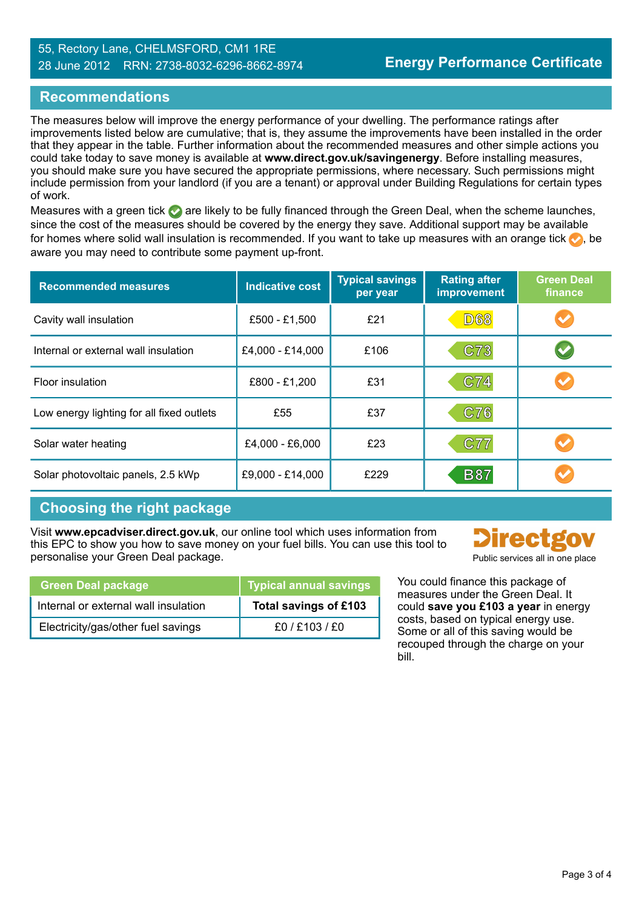#### 55, Rectory Lane, CHELMSFORD, CM1 1RE 28 June 2012 RRN: 2738-8032-6296-8662-8974

### **Recommendations**

The measures below will improve the energy performance of your dwelling. The performance ratings after improvements listed below are cumulative; that is, they assume the improvements have been installed in the order that they appear in the table. Further information about the recommended measures and other simple actions you could take today to save money is available at **www.direct.gov.uk/savingenergy**. Before installing measures, you should make sure you have secured the appropriate permissions, where necessary. Such permissions might include permission from your landlord (if you are a tenant) or approval under Building Regulations for certain types of work.

Measures with a green tick are likely to be fully financed through the Green Deal, when the scheme launches, since the cost of the measures should be covered by the energy they save. Additional support may be available for homes where solid wall insulation is recommended. If you want to take up measures with an orange tick  $\bullet$ , be aware you may need to contribute some payment up-front.

| <b>Recommended measures</b>               | <b>Indicative cost</b> | <b>Typical savings</b><br>per year | <b>Rating after</b><br>improvement | <b>Green Deal</b><br>finance |
|-------------------------------------------|------------------------|------------------------------------|------------------------------------|------------------------------|
| Cavity wall insulation                    | £500 - £1,500          | £21                                | <b>D68</b>                         |                              |
| Internal or external wall insulation      | £4,000 - £14,000       | £106                               | C73                                |                              |
| Floor insulation                          | £800 - £1,200          | £31                                | C74                                |                              |
| Low energy lighting for all fixed outlets | £55                    | £37                                | C76                                |                              |
| Solar water heating                       | £4,000 - £6,000        | £23                                | C77                                |                              |
| Solar photovoltaic panels, 2.5 kWp        | £9,000 - £14,000       | £229                               | <b>B87</b>                         |                              |

## **Choosing the right package**

Visit **www.epcadviser.direct.gov.uk**, our online tool which uses information from this EPC to show you how to save money on your fuel bills. You can use this tool to personalise your Green Deal package. Public services all in one place of the public services all in one place

| <b>Green Deal package</b>            | <b>Typical annual savings</b> |
|--------------------------------------|-------------------------------|
| Internal or external wall insulation | Total savings of £103         |
| Electricity/gas/other fuel savings   | f0/F103/F0                    |

You could finance this package of measures under the Green Deal. It could **save you £103 a year** in energy

costs, based on typical energy use. Some or all of this saving would be recouped through the charge on your bill.